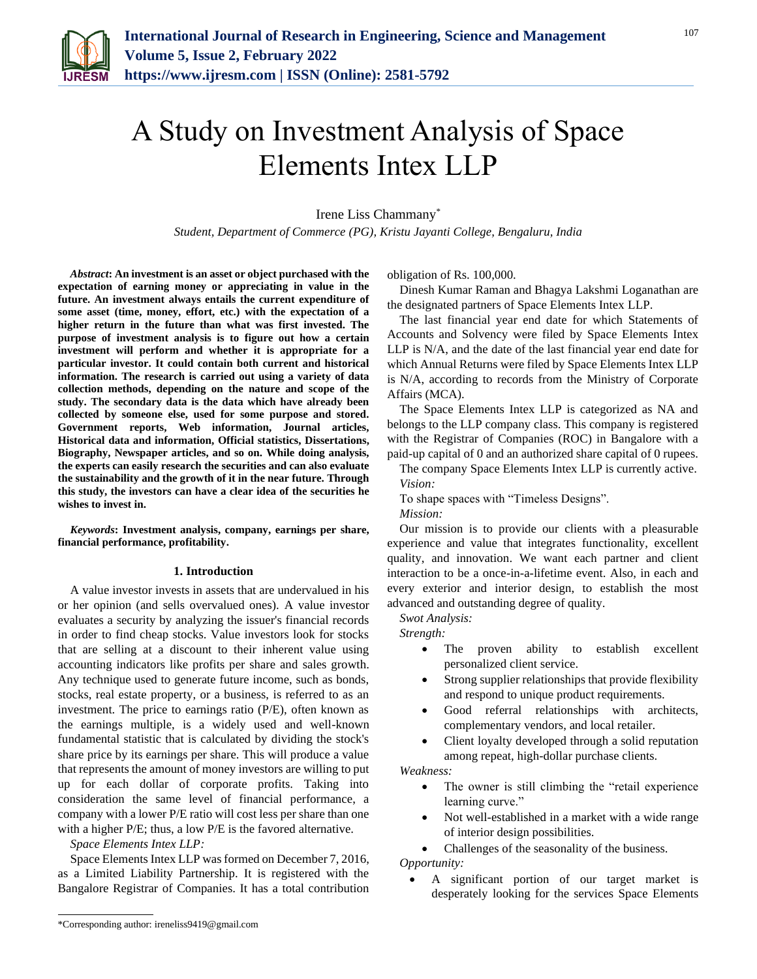

# A Study on Investment Analysis of Space Elements Intex LLP

Irene Liss Chammany\*

*Student, Department of Commerce (PG), Kristu Jayanti College, Bengaluru, India*

*Abstract***: An investment is an asset or object purchased with the expectation of earning money or appreciating in value in the future. An investment always entails the current expenditure of some asset (time, money, effort, etc.) with the expectation of a higher return in the future than what was first invested. The purpose of investment analysis is to figure out how a certain investment will perform and whether it is appropriate for a particular investor. It could contain both current and historical information. The research is carried out using a variety of data collection methods, depending on the nature and scope of the study. The secondary data is the data which have already been collected by someone else, used for some purpose and stored. Government reports, Web information, Journal articles, Historical data and information, Official statistics, Dissertations, Biography, Newspaper articles, and so on. While doing analysis, the experts can easily research the securities and can also evaluate the sustainability and the growth of it in the near future. Through this study, the investors can have a clear idea of the securities he wishes to invest in.**

*Keywords***: Investment analysis, company, earnings per share, financial performance, profitability.**

#### **1. Introduction**

A value investor invests in assets that are undervalued in his or her opinion (and sells overvalued ones). A value investor evaluates a security by analyzing the issuer's financial records in order to find cheap stocks. Value investors look for stocks that are selling at a discount to their inherent value using accounting indicators like profits per share and sales growth. Any technique used to generate future income, such as bonds, stocks, real estate property, or a business, is referred to as an investment. The price to earnings ratio (P/E), often known as the earnings multiple, is a widely used and well-known fundamental statistic that is calculated by dividing the stock's share price by its earnings per share. This will produce a value that represents the amount of money investors are willing to put up for each dollar of corporate profits. Taking into consideration the same level of financial performance, a company with a lower P/E ratio will cost less per share than one with a higher P/E; thus, a low P/E is the favored alternative.

*Space Elements Intex LLP:*

Space Elements Intex LLP was formed on December 7, 2016, as a Limited Liability Partnership. It is registered with the Bangalore Registrar of Companies. It has a total contribution obligation of Rs. 100,000.

Dinesh Kumar Raman and Bhagya Lakshmi Loganathan are the designated partners of Space Elements Intex LLP.

The last financial year end date for which Statements of Accounts and Solvency were filed by Space Elements Intex LLP is N/A, and the date of the last financial year end date for which Annual Returns were filed by Space Elements Intex LLP is N/A, according to records from the Ministry of Corporate Affairs (MCA).

The Space Elements Intex LLP is categorized as NA and belongs to the LLP company class. This company is registered with the Registrar of Companies (ROC) in Bangalore with a paid-up capital of 0 and an authorized share capital of 0 rupees.

The company Space Elements Intex LLP is currently active. *Vision:*

To shape spaces with "Timeless Designs". *Mission:*

Our mission is to provide our clients with a pleasurable experience and value that integrates functionality, excellent quality, and innovation. We want each partner and client interaction to be a once-in-a-lifetime event. Also, in each and every exterior and interior design, to establish the most advanced and outstanding degree of quality.

*Swot Analysis:*

*Strength:*

- The proven ability to establish excellent personalized client service.
- Strong supplier relationships that provide flexibility and respond to unique product requirements.
- Good referral relationships with architects, complementary vendors, and local retailer.
- Client loyalty developed through a solid reputation among repeat, high-dollar purchase clients.

*Weakness:*

- The owner is still climbing the "retail experience learning curve."
- Not well-established in a market with a wide range of interior design possibilities.

• Challenges of the seasonality of the business. *Opportunity:*

• A significant portion of our target market is desperately looking for the services Space Elements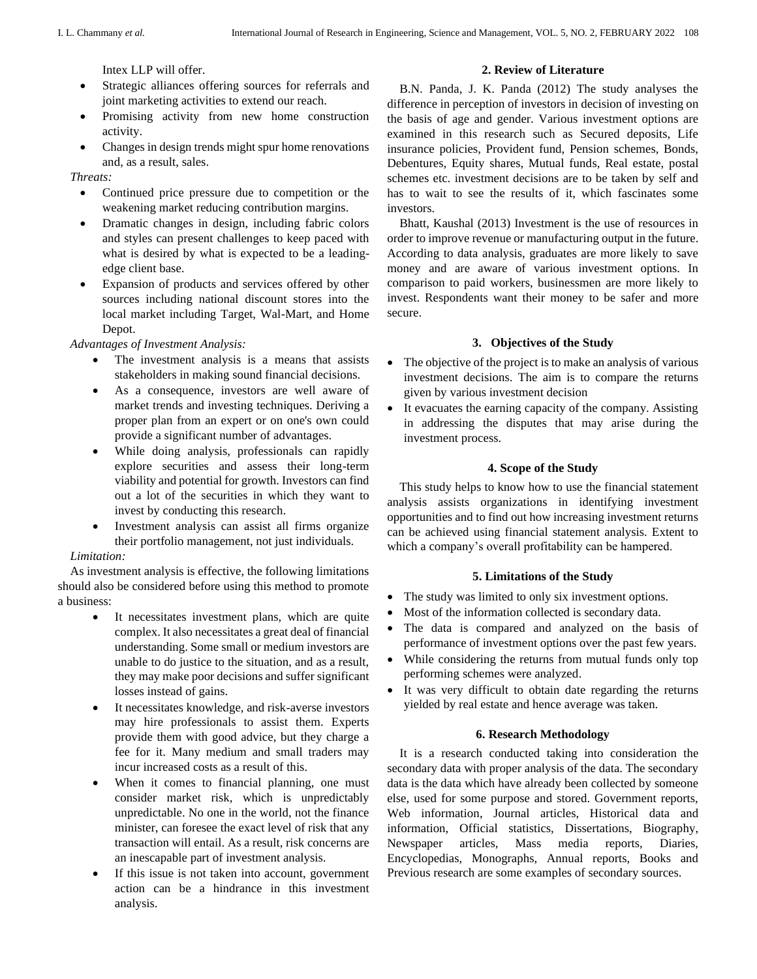Intex LLP will offer.

- Strategic alliances offering sources for referrals and joint marketing activities to extend our reach.
- Promising activity from new home construction activity.
- Changes in design trends might spur home renovations and, as a result, sales.

*Threats:*

- Continued price pressure due to competition or the weakening market reducing contribution margins.
- Dramatic changes in design, including fabric colors and styles can present challenges to keep paced with what is desired by what is expected to be a leadingedge client base.
- Expansion of products and services offered by other sources including national discount stores into the local market including Target, Wal-Mart, and Home Depot.

*Advantages of Investment Analysis:*

- The investment analysis is a means that assists stakeholders in making sound financial decisions.
- As a consequence, investors are well aware of market trends and investing techniques. Deriving a proper plan from an expert or on one's own could provide a significant number of advantages.
- While doing analysis, professionals can rapidly explore securities and assess their long-term viability and potential for growth. Investors can find out a lot of the securities in which they want to invest by conducting this research.
- Investment analysis can assist all firms organize their portfolio management, not just individuals.

## *Limitation:*

As investment analysis is effective, the following limitations should also be considered before using this method to promote a business:

- It necessitates investment plans, which are quite complex. It also necessitates a great deal of financial understanding. Some small or medium investors are unable to do justice to the situation, and as a result, they may make poor decisions and suffer significant losses instead of gains.
- It necessitates knowledge, and risk-averse investors may hire professionals to assist them. Experts provide them with good advice, but they charge a fee for it. Many medium and small traders may incur increased costs as a result of this.
- When it comes to financial planning, one must consider market risk, which is unpredictably unpredictable. No one in the world, not the finance minister, can foresee the exact level of risk that any transaction will entail. As a result, risk concerns are an inescapable part of investment analysis.
- If this issue is not taken into account, government action can be a hindrance in this investment analysis.

### **2. Review of Literature**

B.N. Panda, J. K. Panda (2012) The study analyses the difference in perception of investors in decision of investing on the basis of age and gender. Various investment options are examined in this research such as Secured deposits, Life insurance policies, Provident fund, Pension schemes, Bonds, Debentures, Equity shares, Mutual funds, Real estate, postal schemes etc. investment decisions are to be taken by self and has to wait to see the results of it, which fascinates some investors.

Bhatt, Kaushal (2013) Investment is the use of resources in order to improve revenue or manufacturing output in the future. According to data analysis, graduates are more likely to save money and are aware of various investment options. In comparison to paid workers, businessmen are more likely to invest. Respondents want their money to be safer and more secure.

## **3. Objectives of the Study**

- The objective of the project is to make an analysis of various investment decisions. The aim is to compare the returns given by various investment decision
- It evacuates the earning capacity of the company. Assisting in addressing the disputes that may arise during the investment process.

### **4. Scope of the Study**

This study helps to know how to use the financial statement analysis assists organizations in identifying investment opportunities and to find out how increasing investment returns can be achieved using financial statement analysis. Extent to which a company's overall profitability can be hampered.

## **5. Limitations of the Study**

- The study was limited to only six investment options.
- Most of the information collected is secondary data.
- The data is compared and analyzed on the basis of performance of investment options over the past few years.
- While considering the returns from mutual funds only top performing schemes were analyzed.
- It was very difficult to obtain date regarding the returns yielded by real estate and hence average was taken.

## **6. Research Methodology**

It is a research conducted taking into consideration the secondary data with proper analysis of the data. The secondary data is the data which have already been collected by someone else, used for some purpose and stored. Government reports, Web information, Journal articles, Historical data and information, Official statistics, Dissertations, Biography, Newspaper articles, Mass media reports, Diaries, Encyclopedias, Monographs, Annual reports, Books and Previous research are some examples of secondary sources.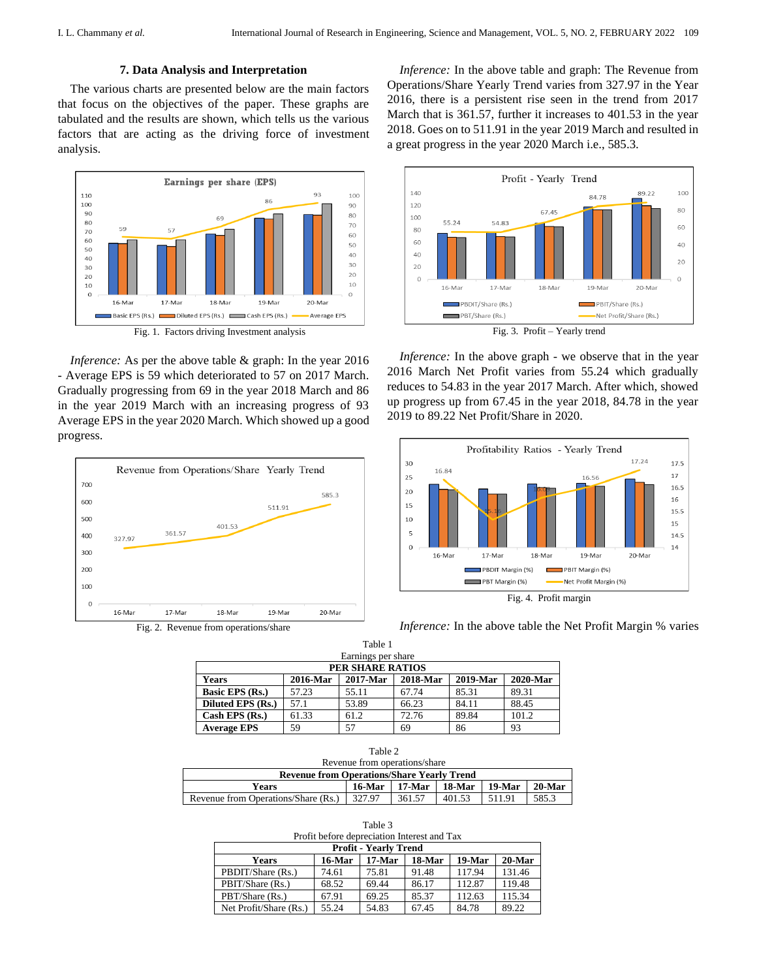#### **7. Data Analysis and Interpretation**

The various charts are presented below are the main factors that focus on the objectives of the paper. These graphs are tabulated and the results are shown, which tells us the various factors that are acting as the driving force of investment analysis.



Fig. 1. Factors driving Investment analysis

*Inference:* As per the above table & graph: In the year 2016 - Average EPS is 59 which deteriorated to 57 on 2017 March. Gradually progressing from 69 in the year 2018 March and 86 in the year 2019 March with an increasing progress of 93 Average EPS in the year 2020 March. Which showed up a good progress.



*Inference:* In the above table and graph: The Revenue from Operations/Share Yearly Trend varies from 327.97 in the Year 2016, there is a persistent rise seen in the trend from 2017 March that is 361.57, further it increases to 401.53 in the year 2018. Goes on to 511.91 in the year 2019 March and resulted in a great progress in the year 2020 March i.e., 585.3.



*Inference:* In the above graph - we observe that in the year 2016 March Net Profit varies from 55.24 which gradually reduces to 54.83 in the year 2017 March. After which, showed up progress up from 67.45 in the year 2018, 84.78 in the year 2019 to 89.22 Net Profit/Share in 2020.



*Inference:* In the above table the Net Profit Margin % varies

| Table 1            |          |             |          |          |          |  |
|--------------------|----------|-------------|----------|----------|----------|--|
| Earnings per share |          |             |          |          |          |  |
| PER SHARE RATIOS   |          |             |          |          |          |  |
| <b>Years</b>       | 2016-Mar | $2017$ -Mar | 2018-Mar | 2019-Mar | 2020-Mar |  |
| Basic EPS (Rs.)    | 57.23    | 55.11       | 67.74    | 85.31    | 89.31    |  |
| Diluted EPS (Rs.)  | 57.1     | 53.89       | 66.23    | 84.11    | 88.45    |  |
| Cash EPS $(Rs.)$   | 61.33    | 61.2        | 72.76    | 89.84    | 101.2    |  |
| <b>Average EPS</b> | 59       | 57          | 69       | 86       | 93       |  |

| Table 2                                           |           |        |        |          |           |  |
|---------------------------------------------------|-----------|--------|--------|----------|-----------|--|
| Revenue from operations/share                     |           |        |        |          |           |  |
| <b>Revenue from Operations/Share Yearly Trend</b> |           |        |        |          |           |  |
| Years                                             | $16$ -Mar | 17-Mar | 18-Mar | $19-Mar$ | $20$ -Mar |  |
| Revenue from Operations/Share (Rs.)               | 327.97    | 361.57 | 401.53 | 511.91   | 585.3     |  |

Table 3 Profit before depreciation Interest and Tax

| <b>Profit - Yearly Trend</b> |           |          |        |          |           |  |
|------------------------------|-----------|----------|--------|----------|-----------|--|
| Years                        | $16$ -Mar | $17-Mar$ | 18-Mar | $19-Mar$ | $20$ -Mar |  |
| PBDIT/Share (Rs.)            | 74.61     | 75.81    | 91.48  | 117.94   | 131.46    |  |
| PBIT/Share (Rs.)             | 68.52     | 69.44    | 86.17  | 112.87   | 119.48    |  |
| PBT/Share (Rs.)              | 67.91     | 69.25    | 85.37  | 112.63   | 115.34    |  |
| Net Profit/Share (Rs.)       | 55.24     | 54.83    | 67.45  | 84.78    | 89.22     |  |